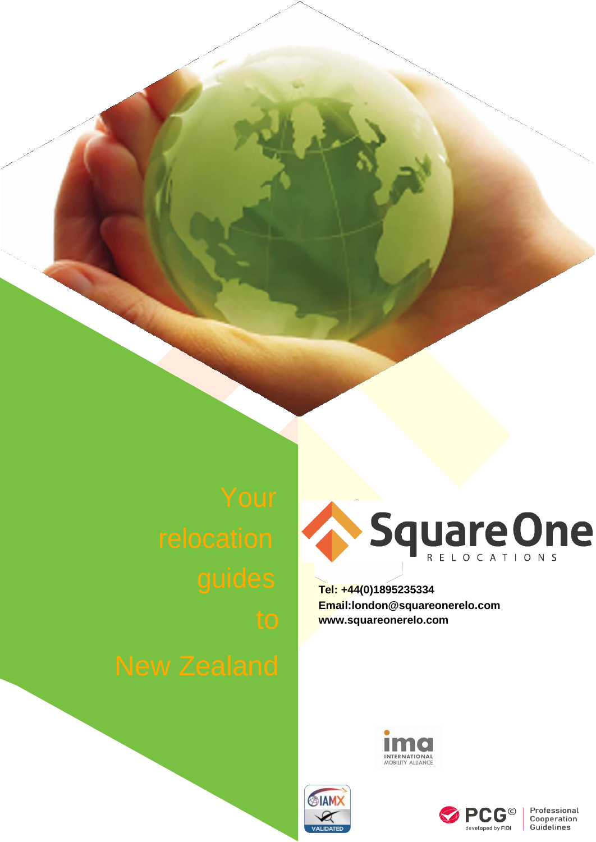

**Tel: +44(0)1895235334 [Email:london@squareonerelo.com](mailto:london@squareonerelo.com) [www.squareonerelo.com](http://www.squareonerelo.com/)**







Professional<br>Cooperation<br>Guidelines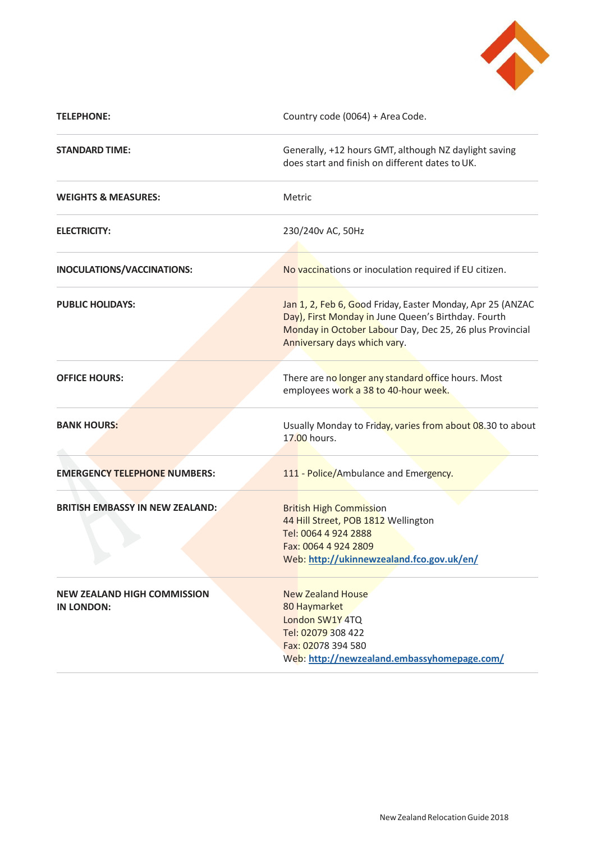

| <b>TELEPHONE:</b>                                       | Country code (0064) + Area Code.                                                                                                                                                                              |
|---------------------------------------------------------|---------------------------------------------------------------------------------------------------------------------------------------------------------------------------------------------------------------|
| <b>STANDARD TIME:</b>                                   | Generally, +12 hours GMT, although NZ daylight saving<br>does start and finish on different dates to UK.                                                                                                      |
| <b>WEIGHTS &amp; MEASURES:</b>                          | Metric                                                                                                                                                                                                        |
| <b>ELECTRICITY:</b>                                     | 230/240v AC, 50Hz                                                                                                                                                                                             |
| INOCULATIONS/VACCINATIONS:                              | No vaccinations or inoculation required if EU citizen.                                                                                                                                                        |
| <b>PUBLIC HOLIDAYS:</b>                                 | Jan 1, 2, Feb 6, Good Friday, Easter Monday, Apr 25 (ANZAC<br>Day), First Monday in June Queen's Birthday. Fourth<br>Monday in October Labour Day, Dec 25, 26 plus Provincial<br>Anniversary days which vary. |
| <b>OFFICE HOURS:</b>                                    | There are no longer any standard office hours. Most<br>employees work a 38 to 40-hour week.                                                                                                                   |
| <b>BANK HOURS:</b>                                      | Usually Monday to Friday, varies from about 08.30 to about<br>17.00 hours.                                                                                                                                    |
| <b>EMERGENCY TELEPHONE NUMBERS:</b>                     | 111 - Police/Ambulance and Emergency.                                                                                                                                                                         |
| <b>BRITISH EMBASSY IN NEW ZEALAND:</b>                  | <b>British High Commission</b><br>44 Hill Street, POB 1812 Wellington<br>Tel: 0064 4 924 2888<br>Fax: 0064 4 924 2809<br>Web: http://ukinnewzealand.fco.gov.uk/en/                                            |
| <b>NEW ZEALAND HIGH COMMISSION</b><br><b>IN LONDON:</b> | <b>New Zealand House</b><br>80 Haymarket<br>London SW1Y 4TQ<br>Tel: 02079 308 422<br>Fax: 02078 394 580<br>Web: http://newzealand.embassyhomepage.com/                                                        |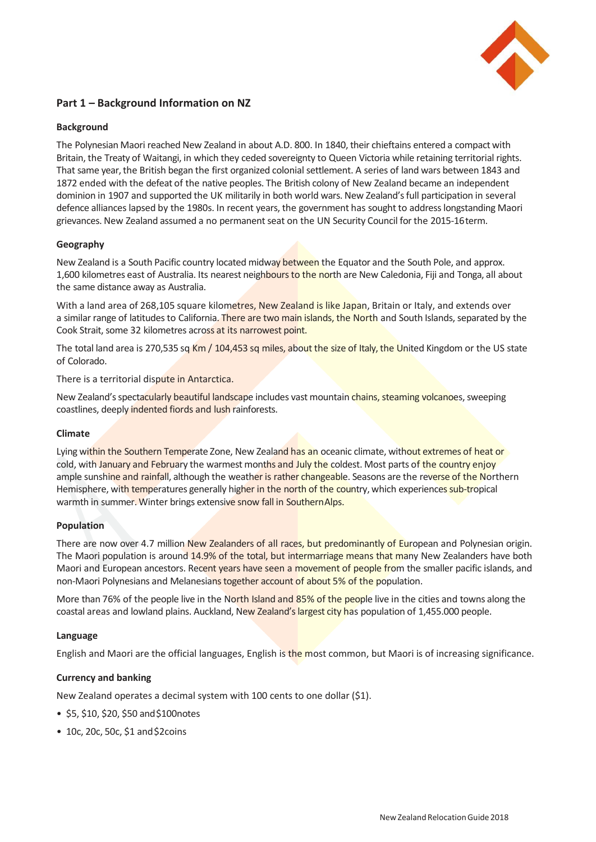

# **Part 1 – Background Information on NZ**

## **Background**

The Polynesian Maori reached New Zealand in about A.D. 800. In 1840, their chieftains entered a compact with Britain, the Treaty of Waitangi, in which they ceded sovereignty to Queen Victoria while retaining territorial rights. That same year, the British began the first organized colonial settlement. A series of land wars between 1843 and 1872 ended with the defeat of the native peoples. The British colony of New Zealand became an independent dominion in 1907 and supported the UK militarily in both world wars. New Zealand's full participation in several defence alliances lapsed by the 1980s. In recent years, the government has sought to address longstanding Maori grievances. New Zealand assumed a no permanent seat on the UN Security Council for the 2015-16term.

## **Geography**

New Zealand is a South Pacific country located midway between the Equator and the South Pole, and approx. 1,600 kilometres east of Australia. Its nearest neighbours to the north are New Caledonia, Fiji and Tonga, all about the same distance away as Australia.

With a land area of 268,105 square kilometres, New Zealand is like Japan, Britain or Italy, and extends over a similar range of latitudes to California. There are two main islands, the North and South Islands, separated by the Cook Strait, some 32 kilometres across at its narrowest point.

The total land area is 270,535 sq Km / 104,453 sq miles, about the size of Italy, the United Kingdom or the US state of Colorado.

There is a territorial dispute in Antarctica.

New Zealand's spectacularly beautiful landscape includes vast mountain chains, steaming volcanoes, sweeping coastlines, deeply indented fiords and lush rainforests.

## **Climate**

Lying within the Southern Temperate Zone, New Zealand has an oceanic climate, without extremes of heat or cold, with January and February the warmest months and July the coldest. Most parts of the country enjoy ample sunshine and rainfall, although the weather is rather changeable. Seasons are the reverse of the Northern Hemisphere, with temperatures generally higher in the north of the country, which experiences sub-tropical warmth in summer. Winter brings extensive snow fall in Southern Alps.

## **Population**

There are now over 4.7 million New Zealanders of all races, but predominantly of European and Polynesian origin. The Maori population is around 14.9% of the total, but intermarriage means that many New Zealanders have both Maori and European ancestors. Recent years have seen a movement of people from the smaller pacific islands, and non-Maori Polynesians and Melanesians together account of about 5% of the population.

More than 76% of the people live in the North Island and 85% of the people live in the cities and towns along the coastal areas and lowland plains. Auckland, New Zealand's largest city has population of 1,455.000 people.

## **Language**

English and Maori are the official languages, English is the most common, but Maori is of increasing significance.

## **Currency and banking**

New Zealand operates a decimal system with 100 cents to one dollar (\$1).

- \$5, \$10, \$20, \$50 and \$100notes
- 10c, 20c, 50c, \$1 and \$2coins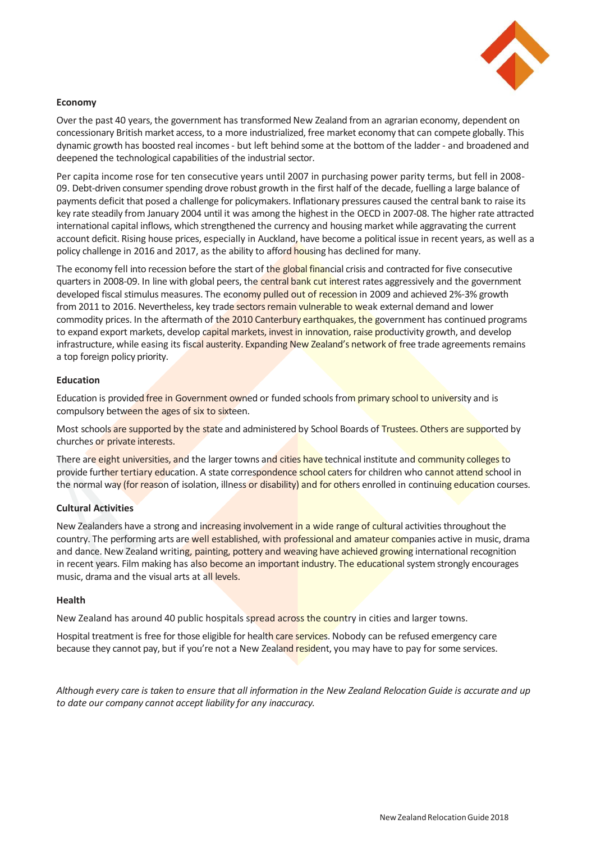

## **Economy**

Over the past 40 years, the government has transformed New Zealand from an agrarian economy, dependent on concessionary British market access, to a more industrialized, free market economy that can compete globally. This dynamic growth has boosted real incomes - but left behind some at the bottom of the ladder - and broadened and deepened the technological capabilities of the industrial sector.

Per capita income rose for ten consecutive years until 2007 in purchasing power parity terms, but fell in 2008- 09. Debt-driven consumer spending drove robust growth in the first half of the decade, fuelling a large balance of payments deficit that posed a challenge for policymakers. Inflationary pressures caused the central bank to raise its key rate steadily from January 2004 until it was among the highest in the OECD in 2007-08. The higher rate attracted international capital inflows, which strengthened the currency and housing market while aggravating the current account deficit. Rising house prices, especially in Auckland, have become a political issue in recent years, as well as a policy challenge in 2016 and 2017, as the ability to afford housing has declined for many.

The economy fell into recession before the start of the global financial crisis and contracted for five consecutive quarters in 2008-09. In line with global peers, the central bank cut interest rates aggressively and the government developed fiscal stimulus measures. The economy pulled out of recession in 2009 and achieved 2%-3% growth from 2011 to 2016. Nevertheless, key trade sectors remain vulnerable to weak external demand and lower commodity prices. In the aftermath of the 2010 Canterbury earthquakes, the government has continued programs to expand export markets, develop capital markets, invest in innovation, raise productivity growth, and develop infrastructure, while easing its fiscal austerity. Expanding New Zealand's network of free trade agreements remains a top foreign policy priority.

## **Education**

Education is provided free in Government owned or funded schools from primary school to university and is compulsory between the ages of six to sixteen.

Most schools are supported by the state and administered by School Boards of Trustees. Others are supported by churches or private interests.

There are eight universities, and the larger towns and cities have technical institute and community colleges to provide further tertiary education. A state correspondence school caters for children who cannot attend school in the normal way (for reason of isolation, illness or disability) and for others enrolled in continuing education courses.

## **Cultural Activities**

New Zealanders have a strong and increasing involvement in a wide range of cultural activities throughout the country. The performing arts are well established, with professional and amateur companies active in music, drama and dance. New Zealand writing, painting, pottery and weaving have achieved growing international recognition in recent years. Film making has also become an important industry. The educational system strongly encourages music, drama and the visual arts at all levels.

## **Health**

New Zealand has around 40 public hospitals spread across the country in cities and larger towns.

Hospital treatment is free for those eligible for health care services. Nobody can be refused emergency care because they cannot pay, but if you're not a New Zealand resident, you may have to pay for some services.

*Although every care is taken to ensure that all information in the New Zealand Relocation Guide is accurate and up to date our company cannot accept liability for any inaccuracy.*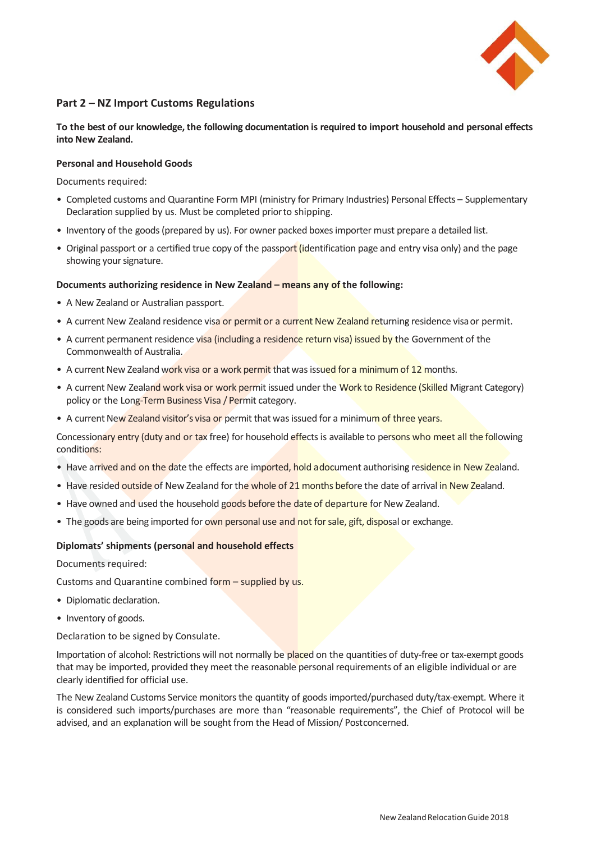

# **Part 2 – NZ Import Customs Regulations**

**To the best of our knowledge, the following documentation is required to import household and personal effects into New Zealand.**

## **Personal and Household Goods**

Documents required:

- Completed customs and Quarantine Form MPI (ministry for Primary Industries) Personal Effects Supplementary Declaration supplied by us. Must be completed priorto shipping.
- Inventory of the goods (prepared by us). For owner packed boxes importer must prepare a detailed list.
- Original passport or a certified true copy of the passport (identification page and entry visa only) and the page showing your signature.

## **Documents authorizing residence in New Zealand – means any of the following:**

- A New Zealand or Australian passport.
- A current New Zealand residence visa or permit or a current New Zealand returning residence visa or permit.
- A current permanent residence visa (including a residence return visa) issued by the Government of the Commonwealth of Australia.
- A current New Zealand work visa or a work permit that was issued for a minimum of 12 months.
- A current New Zealand work visa or work permit issued under the Work to Residence (Skilled Migrant Category) policy or the Long-Term Business Visa / Permit category.
- A current New Zealand visitor's visa or permit that was issued for a minimum of three years.

Concessionary entry (duty and or tax free) for household effects is available to persons who meet all the following conditions:

- Have arrived and on the date the effects are imported, hold adocument authorising residence in New Zealand.
- Have resided outside of New Zealand for the whole of 21 months before the date of arrival in New Zealand.
- Have owned and used the household goods before the date of departure for New Zealand.
- The goods are being imported for own personal use and not for sale, gift, disposal or exchange.

## **Diplomats' shipments (personal and household effects**

Documents required:

Customs and Quarantine combined form – supplied by us.

- Diplomatic declaration.
- Inventory of goods.

Declaration to be signed by Consulate.

Importation of alcohol: Restrictions will not normally be placed on the quantities of duty-free or tax-exempt goods that may be imported, provided they meet the reasonable personal requirements of an eligible individual or are clearly identified for official use.

The New Zealand Customs Service monitors the quantity of goods imported/purchased duty/tax-exempt. Where it is considered such imports/purchases are more than "reasonable requirements", the Chief of Protocol will be advised, and an explanation will be sought from the Head of Mission/ Postconcerned.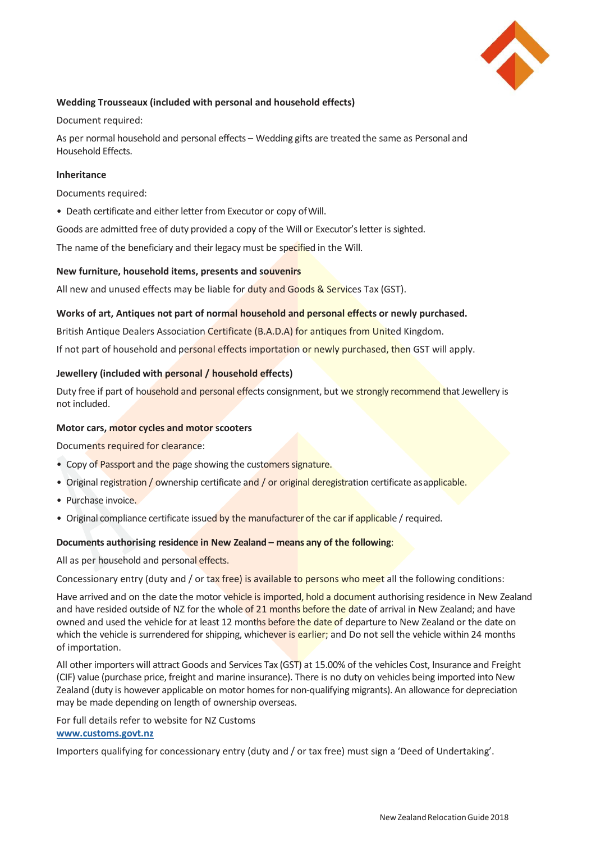

## **Wedding Trousseaux (included with personal and household effects)**

Document required:

As per normal household and personal effects – Wedding gifts are treated the same as Personal and Household Effects.

## **Inheritance**

Documents required:

• Death certificate and either letter from Executor or copy ofWill.

Goods are admitted free of duty provided a copy of the Will or Executor's letter is sighted.

The name of the beneficiary and their legacy must be specified in the Will.

#### **New furniture, household items, presents and souvenirs**

All new and unused effects may be liable for duty and Goods & Services Tax (GST).

#### **Works of art, Antiques not part of normal household and personal effects or newly purchased.**

British Antique Dealers Association Certificate (B.A.D.A) for antiques from United Kingdom.

If not part of household and personal effects importation or newly purchased, then GST will apply.

#### **Jewellery (included with personal / household effects)**

Duty free if part of household and personal effects consignment, but we strongly recommend that Jewellery is not included.

#### **Motor cars, motor cycles and motor scooters**

Documents required for clearance:

- Copy of Passport and the page showing the customers signature.
- Original registration / ownership certificate and / or original deregistration certificate as applicable.
- Purchase invoice.
- Original compliance certificate issued by the manufacturer of the car if applicable / required.

#### **Documents authorising residence in New Zealand – means any of the following**:

All as per household and personal effects.

Concessionary entry (duty and / or tax free) is available to persons who meet all the following conditions:

Have arrived and on the date the motor vehicle is imported, hold a document authorising residence in New Zealand and have resided outside of NZ for the whole of 21 months before the date of arrival in New Zealand; and have owned and used the vehicle for at least 12 months before the date of departure to New Zealand or the date on which the vehicle is surrendered for shipping, whichever is earlier; and Do not sell the vehicle within 24 months of importation.

All other importers will attract Goods and Services Tax (GST) at 15.00% of the vehicles Cost, Insurance and Freight (CIF) value (purchase price, freight and marine insurance). There is no duty on vehicles being imported into New Zealand (duty is however applicable on motor homes for non-qualifying migrants). An allowance for depreciation may be made depending on length of ownership overseas.

For full details refer to website for NZ Customs **[www.customs.govt.nz](http://www.customs.govt.nz/)**

Importers qualifying for concessionary entry (duty and / or tax free) must sign a 'Deed of Undertaking'.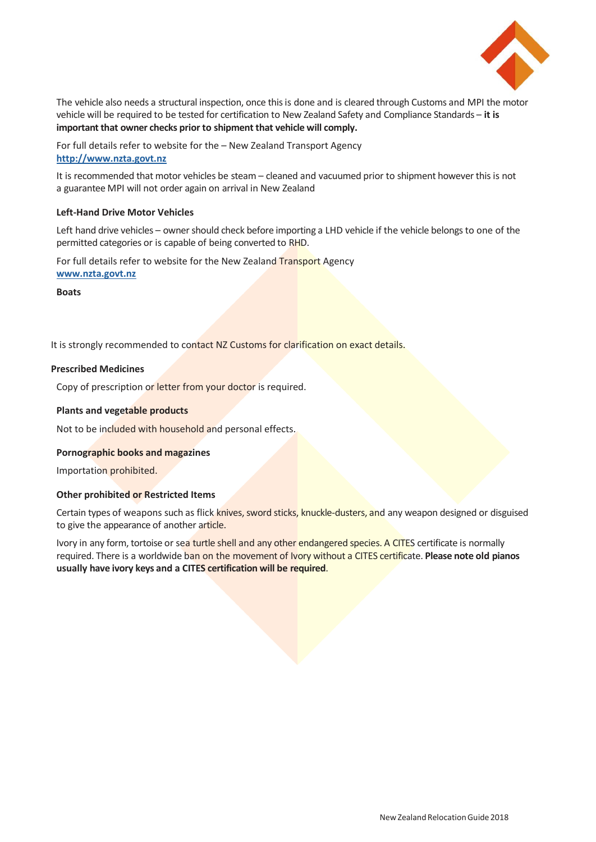

The vehicle also needs a structural inspection, once this is done and is cleared through Customs and MPI the motor vehicle will be required to be tested for certification to New Zealand Safety and Compliance Standards – **it is important that owner checks prior to shipment that vehicle will comply.**

For full details refer to website for the – New Zealand Transport Agency **[http://www.nzta.govt.nz](http://www.nzta.govt.nz/)**

It is recommended that motor vehicles be steam – cleaned and vacuumed prior to shipment however this is not a guarantee MPI will not order again on arrival in New Zealand

## **Left-Hand Drive Motor Vehicles**

Left hand drive vehicles – owner should check before importing a LHD vehicle if the vehicle belongs to one of the permitted categories or is capable of being converted to RHD.

For full details refer to website for the New Zealand Transport Agency **[www.nzta.govt.nz](http://www.nzta.govt.nz/)**

**Boats**

It is strongly recommended to contact NZ Customs for clarification on exact details.

## **Prescribed Medicines**

Copy of prescription or letter from your doctor is required.

## **Plants and vegetable products**

Not to be included with household and personal effects.

## **Pornographic books and magazines**

Importation prohibited.

## **Other prohibited or Restricted Items**

Certain types of weapons such as flick knives, sword sticks, knuckle-dusters, and any weapon designed or disguised to give the appearance of another article.

Ivory in any form, tortoise or sea turtle shell and any other endangered species. A CITES certificate is normally required. There is a worldwide ban on the movement of Ivory without a CITES certificate. **Please note old pianos usually have ivory keys and a CITES certification will be required**.